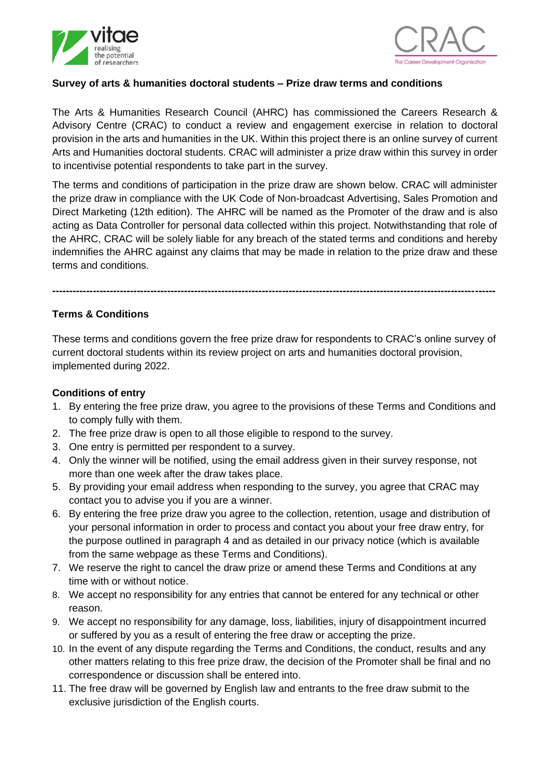



## **Survey of arts & humanities doctoral students – Prize draw terms and conditions**

The Arts & Humanities Research Council (AHRC) has commissioned the Careers Research & Advisory Centre (CRAC) to conduct a review and engagement exercise in relation to doctoral provision in the arts and humanities in the UK. Within this project there is an online survey of current Arts and Humanities doctoral students. CRAC will administer a prize draw within this survey in order to incentivise potential respondents to take part in the survey.

The terms and conditions of participation in the prize draw are shown below. CRAC will administer the prize draw in compliance with the UK Code of Non-broadcast Advertising, Sales Promotion and Direct Marketing (12th edition). The AHRC will be named as the Promoter of the draw and is also acting as Data Controller for personal data collected within this project. Notwithstanding that role of the AHRC, CRAC will be solely liable for any breach of the stated terms and conditions and hereby indemnifies the AHRC against any claims that may be made in relation to the prize draw and these terms and conditions.

## **Terms & Conditions**

These terms and conditions govern the free prize draw for respondents to CRAC's online survey of current doctoral students within its review project on arts and humanities doctoral provision, implemented during 2022.

**-----------------------------------------------------------------------------------------------------------------------------------**

## **Conditions of entry**

- 1. By entering the free prize draw, you agree to the provisions of these Terms and Conditions and to comply fully with them.
- 2. The free prize draw is open to all those eligible to respond to the survey.
- 3. One entry is permitted per respondent to a survey.
- 4. Only the winner will be notified, using the email address given in their survey response, not more than one week after the draw takes place.
- 5. By providing your email address when responding to the survey, you agree that CRAC may contact you to advise you if you are a winner.
- 6. By entering the free prize draw you agree to the collection, retention, usage and distribution of your personal information in order to process and contact you about your free draw entry, for the purpose outlined in paragraph 4 and as detailed in our privacy notice (which is available from the same webpage as these Terms and Conditions).
- 7. We reserve the right to cancel the draw prize or amend these Terms and Conditions at any time with or without notice.
- 8. We accept no responsibility for any entries that cannot be entered for any technical or other reason.
- 9. We accept no responsibility for any damage, loss, liabilities, injury of disappointment incurred or suffered by you as a result of entering the free draw or accepting the prize.
- 10. In the event of any dispute regarding the Terms and Conditions, the conduct, results and any other matters relating to this free prize draw, the decision of the Promoter shall be final and no correspondence or discussion shall be entered into.
- 11. The free draw will be governed by English law and entrants to the free draw submit to the exclusive jurisdiction of the English courts.